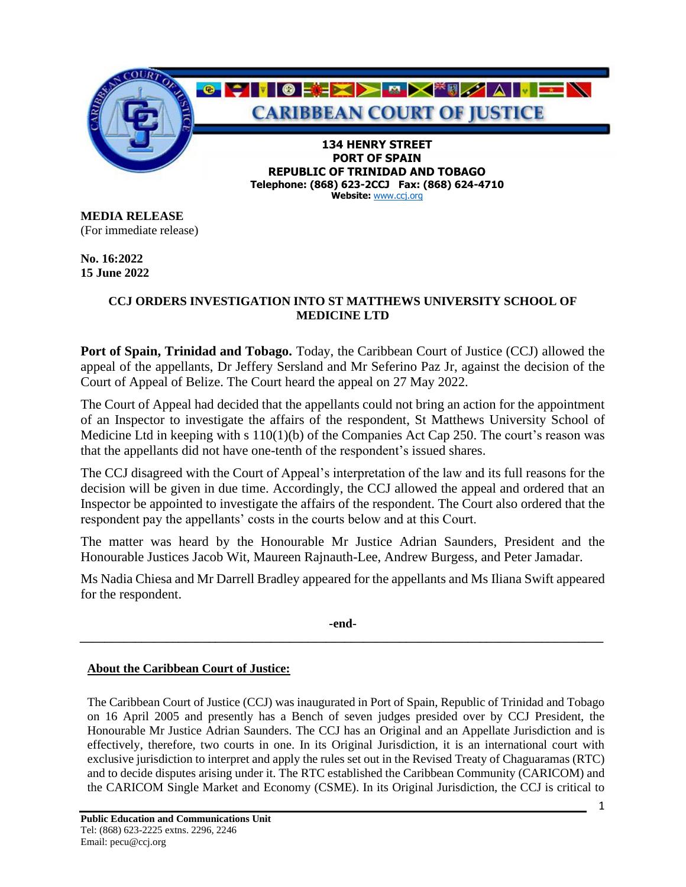

**Website:** [www.ccj.org](http://www.ccj.org/)

**MEDIA RELEASE** (For immediate release)

**No. 16:2022 15 June 2022**

## **CCJ ORDERS INVESTIGATION INTO ST MATTHEWS UNIVERSITY SCHOOL OF MEDICINE LTD**

**Port of Spain, Trinidad and Tobago.** Today, the Caribbean Court of Justice (CCJ) allowed the appeal of the appellants, Dr Jeffery Sersland and Mr Seferino Paz Jr, against the decision of the Court of Appeal of Belize. The Court heard the appeal on 27 May 2022.

The Court of Appeal had decided that the appellants could not bring an action for the appointment of an Inspector to investigate the affairs of the respondent, St Matthews University School of Medicine Ltd in keeping with s 110(1)(b) of the Companies Act Cap 250. The court's reason was that the appellants did not have one-tenth of the respondent's issued shares.

The CCJ disagreed with the Court of Appeal's interpretation of the law and its full reasons for the decision will be given in due time. Accordingly, the CCJ allowed the appeal and ordered that an Inspector be appointed to investigate the affairs of the respondent. The Court also ordered that the respondent pay the appellants' costs in the courts below and at this Court.

The matter was heard by the Honourable Mr Justice Adrian Saunders, President and the Honourable Justices Jacob Wit, Maureen Rajnauth-Lee, Andrew Burgess, and Peter Jamadar.

Ms Nadia Chiesa and Mr Darrell Bradley appeared for the appellants and Ms Iliana Swift appeared for the respondent.

**-end-** *\_\_\_\_\_\_\_\_\_\_\_\_\_\_\_\_\_\_\_\_\_\_\_\_\_\_\_\_\_\_\_\_\_\_\_\_\_\_\_\_\_\_\_\_\_\_\_\_\_\_\_\_\_\_\_\_\_\_\_\_\_\_\_\_\_\_\_\_\_\_\_\_\_\_\_\_\_\_\_\_\_\_\_\_\_*

## **About the Caribbean Court of Justice:**

The Caribbean Court of Justice (CCJ) was inaugurated in Port of Spain, Republic of Trinidad and Tobago on 16 April 2005 and presently has a Bench of seven judges presided over by CCJ President, the Honourable Mr Justice Adrian Saunders. The CCJ has an Original and an Appellate Jurisdiction and is effectively, therefore, two courts in one. In its Original Jurisdiction, it is an international court with exclusive jurisdiction to interpret and apply the rules set out in the Revised Treaty of Chaguaramas (RTC) and to decide disputes arising under it. The RTC established the Caribbean Community (CARICOM) and the CARICOM Single Market and Economy (CSME). In its Original Jurisdiction, the CCJ is critical to